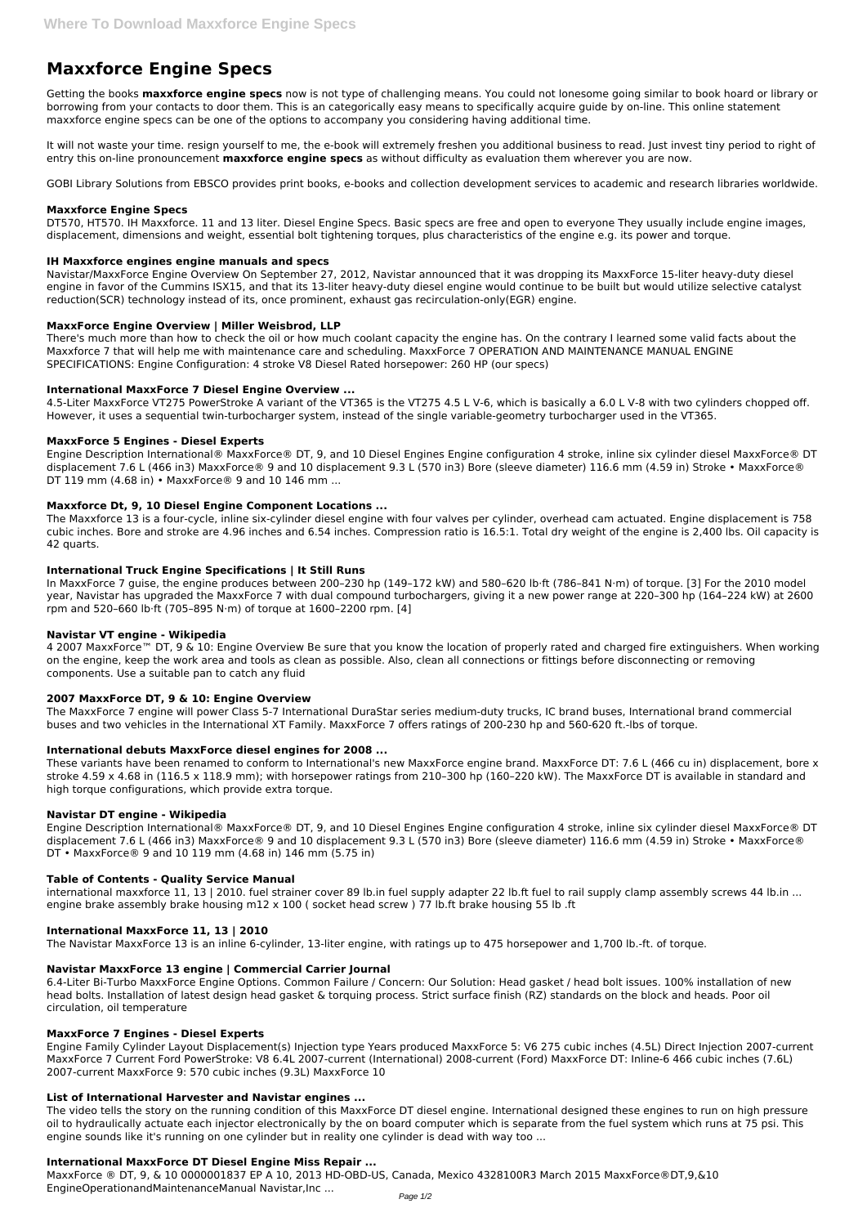# **Maxxforce Engine Specs**

Getting the books **maxxforce engine specs** now is not type of challenging means. You could not lonesome going similar to book hoard or library or borrowing from your contacts to door them. This is an categorically easy means to specifically acquire guide by on-line. This online statement maxxforce engine specs can be one of the options to accompany you considering having additional time.

It will not waste your time. resign yourself to me, the e-book will extremely freshen you additional business to read. Just invest tiny period to right of entry this on-line pronouncement **maxxforce engine specs** as without difficulty as evaluation them wherever you are now.

GOBI Library Solutions from EBSCO provides print books, e-books and collection development services to academic and research libraries worldwide.

#### **Maxxforce Engine Specs**

DT570, HT570. IH Maxxforce. 11 and 13 liter. Diesel Engine Specs. Basic specs are free and open to everyone They usually include engine images, displacement, dimensions and weight, essential bolt tightening torques, plus characteristics of the engine e.g. its power and torque.

## **IH Maxxforce engines engine manuals and specs**

Navistar/MaxxForce Engine Overview On September 27, 2012, Navistar announced that it was dropping its MaxxForce 15-liter heavy-duty diesel engine in favor of the Cummins ISX15, and that its 13-liter heavy-duty diesel engine would continue to be built but would utilize selective catalyst reduction(SCR) technology instead of its, once prominent, exhaust gas recirculation-only(EGR) engine.

## **MaxxForce Engine Overview | Miller Weisbrod, LLP**

There's much more than how to check the oil or how much coolant capacity the engine has. On the contrary I learned some valid facts about the Maxxforce 7 that will help me with maintenance care and scheduling. MaxxForce 7 OPERATION AND MAINTENANCE MANUAL ENGINE SPECIFICATIONS: Engine Configuration: 4 stroke V8 Diesel Rated horsepower: 260 HP (our specs)

4 2007 MaxxForce™ DT, 9 & 10: Engine Overview Be sure that you know the location of properly rated and charged fire extinguishers. When working on the engine, keep the work area and tools as clean as possible. Also, clean all connections or fittings before disconnecting or removing components. Use a suitable pan to catch any fluid

## **International MaxxForce 7 Diesel Engine Overview ...**

4.5-Liter MaxxForce VT275 PowerStroke A variant of the VT365 is the VT275 4.5 L V-6, which is basically a 6.0 L V-8 with two cylinders chopped off. However, it uses a sequential twin-turbocharger system, instead of the single variable-geometry turbocharger used in the VT365.

## **MaxxForce 5 Engines - Diesel Experts**

Engine Description International® MaxxForce® DT, 9, and 10 Diesel Engines Engine configuration 4 stroke, inline six cylinder diesel MaxxForce® DT displacement 7.6 L (466 in3) MaxxForce® 9 and 10 displacement 9.3 L (570 in3) Bore (sleeve diameter) 116.6 mm (4.59 in) Stroke • MaxxForce® DT 119 mm (4.68 in) • MaxxForce® 9 and 10 146 mm ...

international maxxforce 11, 13 | 2010. fuel strainer cover 89 lb.in fuel supply adapter 22 lb.ft fuel to rail supply clamp assembly screws 44 lb.in ... engine brake assembly brake housing m12 x 100 ( socket head screw ) 77 lb.ft brake housing 55 lb .ft

#### **Maxxforce Dt, 9, 10 Diesel Engine Component Locations ...**

The Maxxforce 13 is a four-cycle, inline six-cylinder diesel engine with four valves per cylinder, overhead cam actuated. Engine displacement is 758 cubic inches. Bore and stroke are 4.96 inches and 6.54 inches. Compression ratio is 16.5:1. Total dry weight of the engine is 2,400 lbs. Oil capacity is 42 quarts.

#### **International Truck Engine Specifications | It Still Runs**

In MaxxForce 7 guise, the engine produces between 200–230 hp (149–172 kW) and 580–620 lb⋅ft (786–841 N⋅m) of torque. [3] For the 2010 model year, Navistar has upgraded the MaxxForce 7 with dual compound turbochargers, giving it a new power range at 220–300 hp (164–224 kW) at 2600 rpm and 520–660 lb⋅ft (705–895 N⋅m) of torque at 1600–2200 rpm. [4]

#### **Navistar VT engine - Wikipedia**

# **2007 MaxxForce DT, 9 & 10: Engine Overview**

The MaxxForce 7 engine will power Class 5-7 International DuraStar series medium-duty trucks, IC brand buses, International brand commercial buses and two vehicles in the International XT Family. MaxxForce 7 offers ratings of 200-230 hp and 560-620 ft.-lbs of torque.

# **International debuts MaxxForce diesel engines for 2008 ...**

These variants have been renamed to conform to International's new MaxxForce engine brand. MaxxForce DT: 7.6 L (466 cu in) displacement, bore x stroke 4.59 x 4.68 in (116.5 x 118.9 mm); with horsepower ratings from 210–300 hp (160–220 kW). The MaxxForce DT is available in standard and high torque configurations, which provide extra torque.

# **Navistar DT engine - Wikipedia**

Engine Description International® MaxxForce® DT, 9, and 10 Diesel Engines Engine configuration 4 stroke, inline six cylinder diesel MaxxForce® DT displacement 7.6 L (466 in3) MaxxForce® 9 and 10 displacement 9.3 L (570 in3) Bore (sleeve diameter) 116.6 mm (4.59 in) Stroke • MaxxForce® DT • MaxxForce® 9 and 10 119 mm (4.68 in) 146 mm (5.75 in)

# **Table of Contents - Quality Service Manual**

#### **International MaxxForce 11, 13 | 2010**

The Navistar MaxxForce 13 is an inline 6-cylinder, 13-liter engine, with ratings up to 475 horsepower and 1,700 lb.-ft. of torque.

#### **Navistar MaxxForce 13 engine | Commercial Carrier Journal**

6.4-Liter Bi-Turbo MaxxForce Engine Options. Common Failure / Concern: Our Solution: Head gasket / head bolt issues. 100% installation of new head bolts. Installation of latest design head gasket & torquing process. Strict surface finish (RZ) standards on the block and heads. Poor oil circulation, oil temperature

#### **MaxxForce 7 Engines - Diesel Experts**

Engine Family Cylinder Layout Displacement(s) Injection type Years produced MaxxForce 5: V6 275 cubic inches (4.5L) Direct Injection 2007-current MaxxForce 7 Current Ford PowerStroke: V8 6.4L 2007-current (International) 2008-current (Ford) MaxxForce DT: Inline-6 466 cubic inches (7.6L) 2007-current MaxxForce 9: 570 cubic inches (9.3L) MaxxForce 10

#### **List of International Harvester and Navistar engines ...**

The video tells the story on the running condition of this MaxxForce DT diesel engine. International designed these engines to run on high pressure oil to hydraulically actuate each injector electronically by the on board computer which is separate from the fuel system which runs at 75 psi. This engine sounds like it's running on one cylinder but in reality one cylinder is dead with way too ...

#### **International MaxxForce DT Diesel Engine Miss Repair ...**

MaxxForce ® DT, 9, & 10 0000001837 EP A 10, 2013 HD-OBD-US, Canada, Mexico 4328100R3 March 2015 MaxxForce®DT,9,&10 EngineOperationandMaintenanceManual Navistar,Inc ...